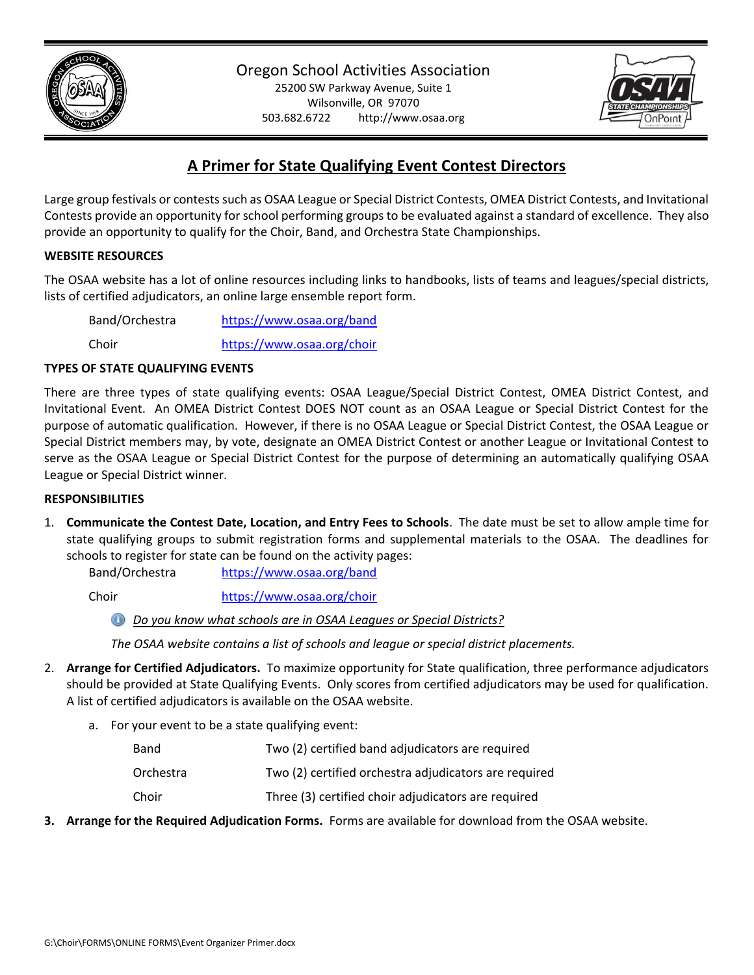

503.682.6722 http://www.osaa.org



# **A Primer for State Qualifying Event Contest Directors**

Large group festivals or contests such as OSAA League or Special District Contests, OMEA District Contests, and Invitational Contests provide an opportunity for school performing groups to be evaluated against a standard of excellence. They also provide an opportunity to qualify for the Choir, Band, and Orchestra State Championships.

### **WEBSITE RESOURCES**

The OSAA website has a lot of online resources including links to handbooks, lists of teams and leagues/special districts, lists of certified adjudicators, an online large ensemble report form.

Band/Orchestra <https://www.osaa.org/band>

Choir <https://www.osaa.org/choir>

### **TYPES OF STATE QUALIFYING EVENTS**

There are three types of state qualifying events: OSAA League/Special District Contest, OMEA District Contest, and Invitational Event. An OMEA District Contest DOES NOT count as an OSAA League or Special District Contest for the purpose of automatic qualification. However, if there is no OSAA League or Special District Contest, the OSAA League or Special District members may, by vote, designate an OMEA District Contest or another League or Invitational Contest to serve as the OSAA League or Special District Contest for the purpose of determining an automatically qualifying OSAA League or Special District winner.

#### **RESPONSIBILITIES**

1. **Communicate the Contest Date, Location, and Entry Fees to Schools**. The date must be set to allow ample time for state qualifying groups to submit registration forms and supplemental materials to the OSAA. The deadlines for schools to register for state can be found on the activity pages:

Band/Orchestra <https://www.osaa.org/band>

Choir <https://www.osaa.org/choir>

*Do you know what schools are in OSAA Leagues or Special Districts?*

*The OSAA website contains a list of schools and league or special district placements.*

- 2. **Arrange for Certified Adjudicators.** To maximize opportunity for State qualification, three performance adjudicators should be provided at State Qualifying Events. Only scores from certified adjudicators may be used for qualification. A list of certified adjudicators is available on the OSAA website.
	- a. For your event to be a state qualifying event:

| Band      | Two (2) certified band adjudicators are required      |
|-----------|-------------------------------------------------------|
| Orchestra | Two (2) certified orchestra adjudicators are required |
| Choir     | Three (3) certified choir adjudicators are required   |

**3. Arrange for the Required Adjudication Forms.** Forms are available for download from the OSAA website.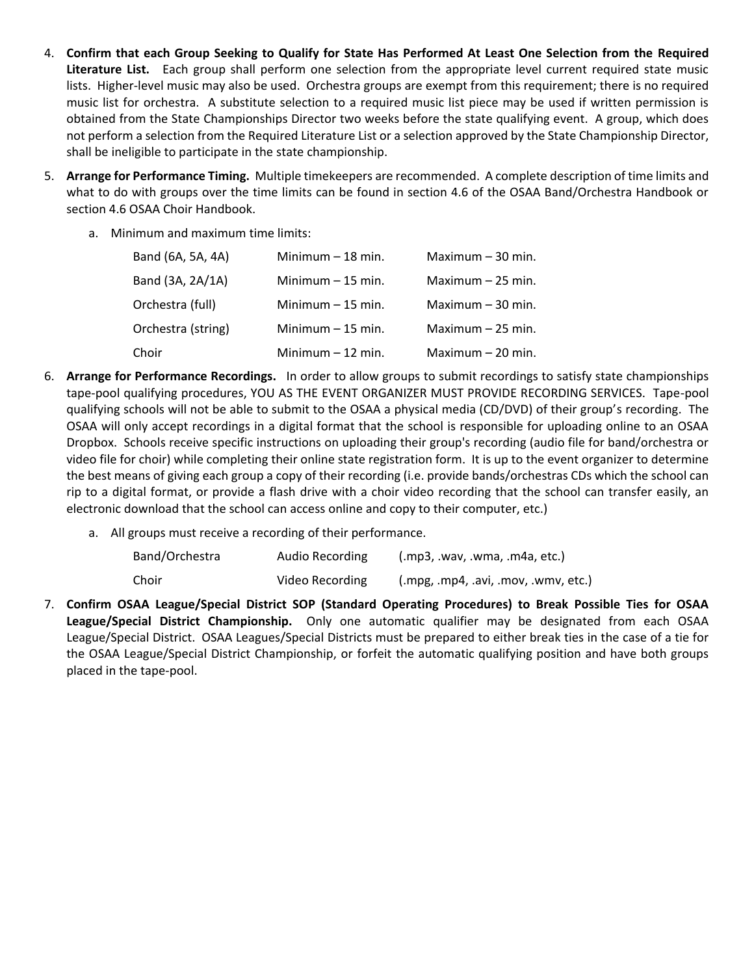- 4. **Confirm that each Group Seeking to Qualify for State Has Performed At Least One Selection from the Required Literature List.** Each group shall perform one selection from the appropriate level current required state music lists. Higher-level music may also be used. Orchestra groups are exempt from this requirement; there is no required music list for orchestra. A substitute selection to a required music list piece may be used if written permission is obtained from the State Championships Director two weeks before the state qualifying event. A group, which does not perform a selection from the Required Literature List or a selection approved by the State Championship Director, shall be ineligible to participate in the state championship.
- 5. **Arrange for Performance Timing.** Multiple timekeepers are recommended. A complete description of time limits and what to do with groups over the time limits can be found in section 4.6 of the OSAA Band/Orchestra Handbook or section 4.6 OSAA Choir Handbook.
	- a. Minimum and maximum time limits:

| Band (6A, 5A, 4A)  | Minimum $-18$ min. | Maximum $-30$ min. |
|--------------------|--------------------|--------------------|
| Band (3A, 2A/1A)   | Minimum $-15$ min. | Maximum $-25$ min. |
| Orchestra (full)   | Minimum $-15$ min. | Maximum $-30$ min. |
| Orchestra (string) | Minimum $-15$ min. | Maximum $-25$ min. |
| Choir              | Minimum $-12$ min. | Maximum $-20$ min. |

- 6. **Arrange for Performance Recordings.** In order to allow groups to submit recordings to satisfy state championships tape-pool qualifying procedures, YOU AS THE EVENT ORGANIZER MUST PROVIDE RECORDING SERVICES. Tape-pool qualifying schools will not be able to submit to the OSAA a physical media (CD/DVD) of their group's recording. The OSAA will only accept recordings in a digital format that the school is responsible for uploading online to an OSAA Dropbox. Schools receive specific instructions on uploading their group's recording (audio file for band/orchestra or video file for choir) while completing their online state registration form. It is up to the event organizer to determine the best means of giving each group a copy of their recording (i.e. provide bands/orchestras CDs which the school can rip to a digital format, or provide a flash drive with a choir video recording that the school can transfer easily, an electronic download that the school can access online and copy to their computer, etc.)
	- a. All groups must receive a recording of their performance.

| Band/Orchestra | Audio Recording | (mp3, wav, wma, ma4a, etc.)     |
|----------------|-----------------|---------------------------------|
| Choir          | Video Recording | (mpg, mp4, avi, mov, wmv, etc.) |

7. **Confirm OSAA League/Special District SOP (Standard Operating Procedures) to Break Possible Ties for OSAA League/Special District Championship.** Only one automatic qualifier may be designated from each OSAA League/Special District. OSAA Leagues/Special Districts must be prepared to either break ties in the case of a tie for the OSAA League/Special District Championship, or forfeit the automatic qualifying position and have both groups placed in the tape-pool.